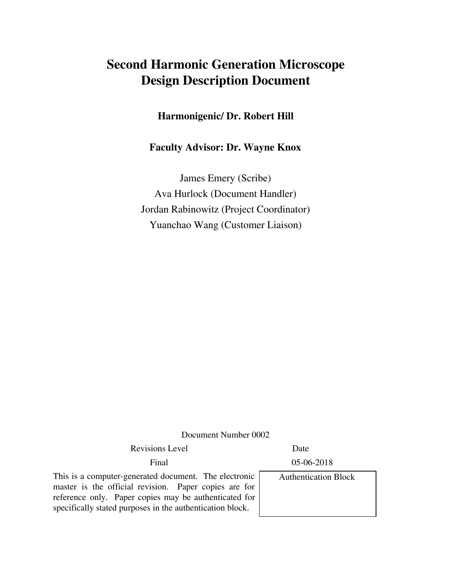# **Second Harmonic Generation Microscope Design Description Document**

#### **Harmonigenic/ Dr. Robert Hill**

### **Faculty Advisor: Dr. Wayne Knox**

James Emery (Scribe) Ava Hurlock (Document Handler) Jordan Rabinowitz (Project Coordinator) Yuanchao Wang (Customer Liaison)

Document Number 0002

Revisions Level **Date** 

Final 05-06-2018

This is a computer-generated document. The electronic master is the official revision. Paper copies are for reference only. Paper copies may be authenticated for specifically stated purposes in the authentication block.

Authentication Block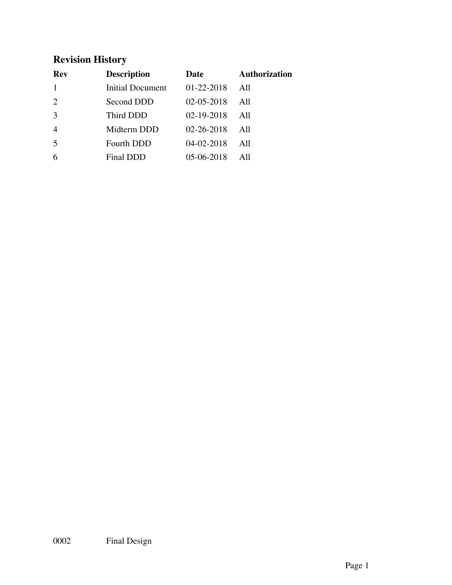# **Revision History**

| Rev            | <b>Description</b> | Date             | <b>Authorization</b> |
|----------------|--------------------|------------------|----------------------|
|                | Initial Document   | 01-22-2018       | All                  |
| $\overline{2}$ | Second DDD         | $02 - 05 - 2018$ | All                  |
| 3              | Third DDD          | 02-19-2018       | All                  |
| $\overline{4}$ | Midterm DDD        | $02 - 26 - 2018$ | All                  |
| 5              | <b>Fourth DDD</b>  | $04 - 02 - 2018$ | All                  |
|                | Final DDD          | 05-06-2018       | AII                  |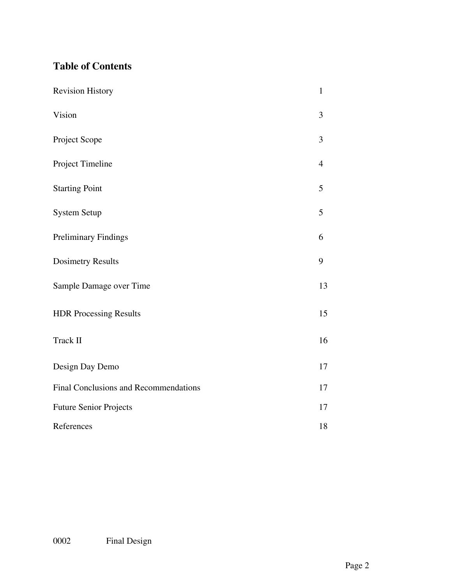# **Table of Contents**

| <b>Revision History</b>                      | $\mathbf{1}$   |  |  |
|----------------------------------------------|----------------|--|--|
| Vision                                       | 3              |  |  |
| Project Scope                                | 3              |  |  |
| Project Timeline                             | $\overline{4}$ |  |  |
| <b>Starting Point</b>                        | 5              |  |  |
| <b>System Setup</b>                          | 5              |  |  |
| Preliminary Findings                         | 6              |  |  |
| <b>Dosimetry Results</b>                     | 9              |  |  |
| Sample Damage over Time                      | 13             |  |  |
| <b>HDR Processing Results</b>                | 15             |  |  |
| Track II                                     | 16             |  |  |
| Design Day Demo                              | 17             |  |  |
| <b>Final Conclusions and Recommendations</b> |                |  |  |
| <b>Future Senior Projects</b>                |                |  |  |
| References                                   |                |  |  |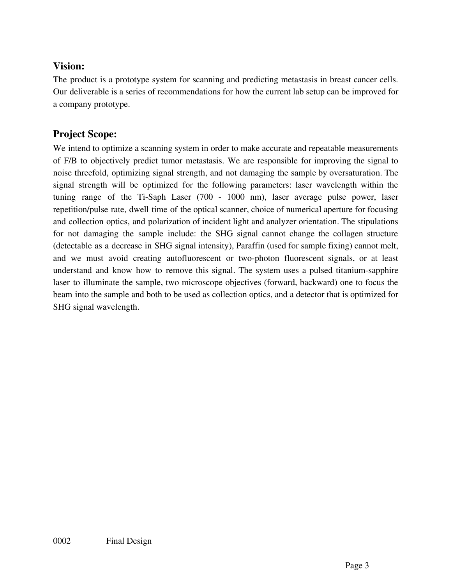## **Vision:**

The product is a prototype system for scanning and predicting metastasis in breast cancer cells. Our deliverable is a series of recommendations for how the current lab setup can be improved for a company prototype.

# **Project Scope:**

We intend to optimize a scanning system in order to make accurate and repeatable measurements of F/B to objectively predict tumor metastasis. We are responsible for improving the signal to noise threefold, optimizing signal strength, and not damaging the sample by oversaturation. The signal strength will be optimized for the following parameters: laser wavelength within the tuning range of the Ti-Saph Laser (700 - 1000 nm), laser average pulse power, laser repetition/pulse rate, dwell time of the optical scanner, choice of numerical aperture for focusing and collection optics, and polarization of incident light and analyzer orientation. The stipulations for not damaging the sample include: the SHG signal cannot change the collagen structure (detectable as a decrease in SHG signal intensity), Paraffin (used for sample fixing) cannot melt, and we must avoid creating autofluorescent or two-photon fluorescent signals, or at least understand and know how to remove this signal. The system uses a pulsed titanium-sapphire laser to illuminate the sample, two microscope objectives (forward, backward) one to focus the beam into the sample and both to be used as collection optics, and a detector that is optimized for SHG signal wavelength.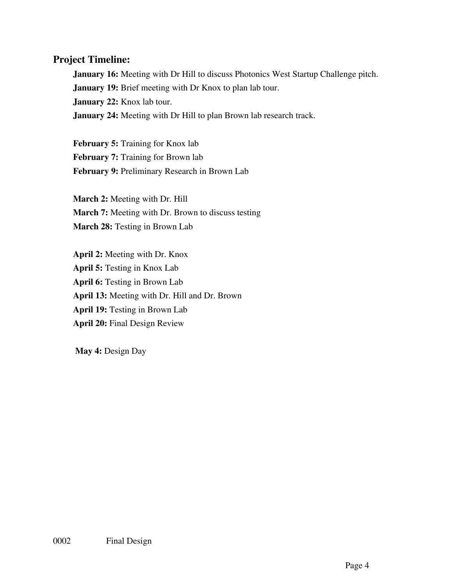#### **Project Timeline:**

**January 16:** Meeting with Dr Hill to discuss Photonics West Startup Challenge pitch. **January 19:** Brief meeting with Dr Knox to plan lab tour. **January 22:** Knox lab tour. **January 24:** Meeting with Dr Hill to plan Brown lab research track.

**February 5:** Training for Knox lab **February 7:** Training for Brown lab **February 9:** Preliminary Research in Brown Lab

**March 2:** Meeting with Dr. Hill **March 7:** Meeting with Dr. Brown to discuss testing **March 28:** Testing in Brown Lab

**April 2:** Meeting with Dr. Knox **April 5:** Testing in Knox Lab **April 6:** Testing in Brown Lab **April 13:** Meeting with Dr. Hill and Dr. Brown **April 19:** Testing in Brown Lab **April 20:** Final Design Review

**May 4:** Design Day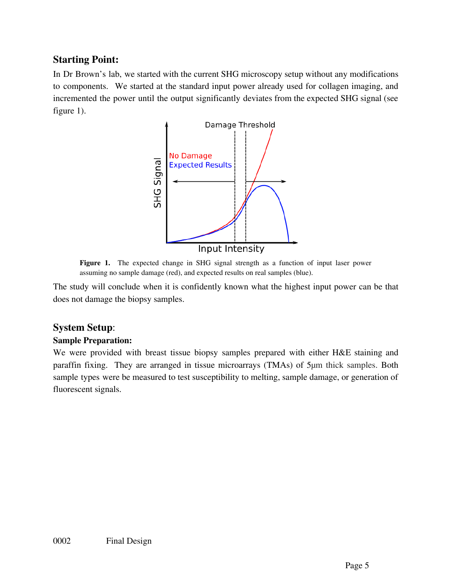## **Starting Point:**

In Dr Brown's lab, we started with the current SHG microscopy setup without any modifications to components. We started at the standard input power already used for collagen imaging, and incremented the power until the output significantly deviates from the expected SHG signal (see figure 1).



**Figure 1.** The expected change in SHG signal strength as a function of input laser power assuming no sample damage (red), and expected results on real samples (blue).

The study will conclude when it is confidently known what the highest input power can be that does not damage the biopsy samples.

#### **System Setup**:

#### **Sample Preparation:**

We were provided with breast tissue biopsy samples prepared with either H&E staining and paraffin fixing. They are arranged in tissue microarrays (TMAs) of 5μm thick samples. Both sample types were be measured to test susceptibility to melting, sample damage, or generation of fluorescent signals.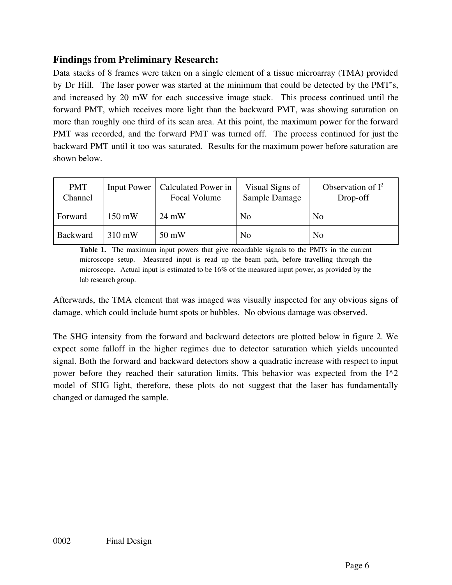# **Findings from Preliminary Research:**

Data stacks of 8 frames were taken on a single element of a tissue microarray (TMA) provided by Dr Hill. The laser power was started at the minimum that could be detected by the PMT's, and increased by 20 mW for each successive image stack. This process continued until the forward PMT, which receives more light than the backward PMT, was showing saturation on more than roughly one third of its scan area. At this point, the maximum power for the forward PMT was recorded, and the forward PMT was turned off. The process continued for just the backward PMT until it too was saturated. Results for the maximum power before saturation are shown below.

| <b>PMT</b><br>Channel | <b>Input Power</b> | Calculated Power in<br>Focal Volume | Visual Signs of<br>Sample Damage | Observation of $I^2$<br>Drop-off |
|-----------------------|--------------------|-------------------------------------|----------------------------------|----------------------------------|
| Forward               | $150 \text{ mW}$   | $24 \text{ mW}$                     | No                               | N <sub>0</sub>                   |
| <b>Backward</b>       | 310 mW             | 50 mW                               | N <sub>0</sub>                   | N <sub>0</sub>                   |

**Table 1.** The maximum input powers that give recordable signals to the PMTs in the current microscope setup. Measured input is read up the beam path, before travelling through the microscope. Actual input is estimated to be 16% of the measured input power, as provided by the lab research group.

Afterwards, the TMA element that was imaged was visually inspected for any obvious signs of damage, which could include burnt spots or bubbles. No obvious damage was observed.

The SHG intensity from the forward and backward detectors are plotted below in figure 2. We expect some falloff in the higher regimes due to detector saturation which yields uncounted signal. Both the forward and backward detectors show a quadratic increase with respect to input power before they reached their saturation limits. This behavior was expected from the I^2 model of SHG light, therefore, these plots do not suggest that the laser has fundamentally changed or damaged the sample.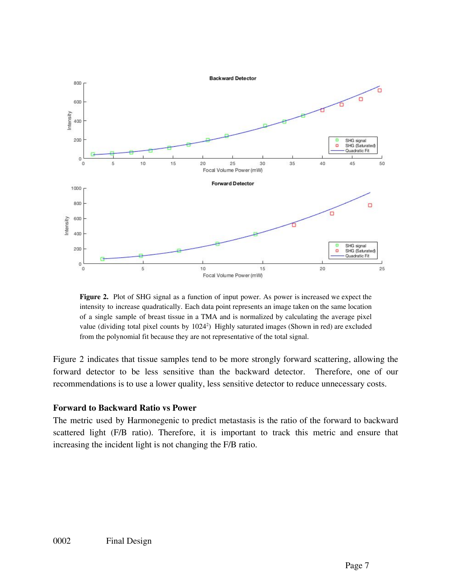

**Figure 2.** Plot of SHG signal as a function of input power. As power is increased we expect the intensity to increase quadratically. Each data point represents an image taken on the same location of a single sample of breast tissue in a TMA and is normalized by calculating the average pixel value (dividing total pixel counts by 1024 2 ) Highly saturated images (Shown in red) are excluded from the polynomial fit because they are not representative of the total signal.

Figure 2 indicates that tissue samples tend to be more strongly forward scattering, allowing the forward detector to be less sensitive than the backward detector. Therefore, one of our recommendations is to use a lower quality, less sensitive detector to reduce unnecessary costs.

#### **Forward to Backward Ratio vs Power**

The metric used by Harmonegenic to predict metastasis is the ratio of the forward to backward scattered light (F/B ratio). Therefore, it is important to track this metric and ensure that increasing the incident light is not changing the F/B ratio.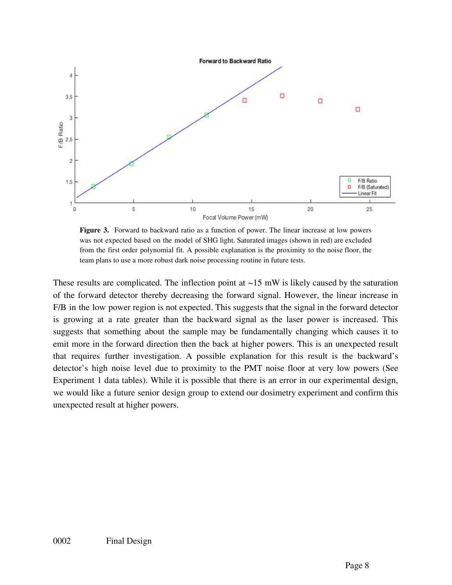

**Figure 3.** Forward to backward ratio as a function of power. The linear increase at low powers was not expected based on the model of SHG light. Saturated images (shown in red) are excluded from the first order polynomial fit. A possible explanation is the proximity to the noise floor, the team plans to use a more robust dark noise processing routine in future tests.

These results are complicated. The inflection point at  $\sim$ 15 mW is likely caused by the saturation of the forward detector thereby decreasing the forward signal. However, the linear increase in F/B in the low power region is not expected. This suggests that the signal in the forward detector is growing at a rate greater than the backward signal as the laser power is increased. This suggests that something about the sample may be fundamentally changing which causes it to emit more in the forward direction then the back at higher powers. This is an unexpected result that requires further investigation. A possible explanation for this result is the backward's detector's high noise level due to proximity to the PMT noise floor at very low powers (See Experiment 1 data tables). While it is possible that there is an error in our experimental design, we would like a future senior design group to extend our dosimetry experiment and confirm this unexpected result at higher powers.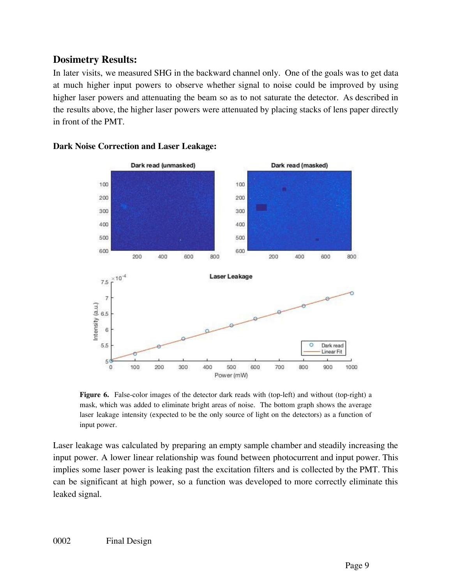### **Dosimetry Results:**

In later visits, we measured SHG in the backward channel only. One of the goals was to get data at much higher input powers to observe whether signal to noise could be improved by using higher laser powers and attenuating the beam so as to not saturate the detector. As described in the results above, the higher laser powers were attenuated by placing stacks of lens paper directly in front of the PMT.



#### **Dark Noise Correction and Laser Leakage:**

**Figure 6.** False-color images of the detector dark reads with (top-left) and without (top-right) a mask, which was added to eliminate bright areas of noise. The bottom graph shows the average laser leakage intensity (expected to be the only source of light on the detectors) as a function of input power.

Laser leakage was calculated by preparing an empty sample chamber and steadily increasing the input power. A lower linear relationship was found between photocurrent and input power. This implies some laser power is leaking past the excitation filters and is collected by the PMT. This can be significant at high power, so a function was developed to more correctly eliminate this leaked signal.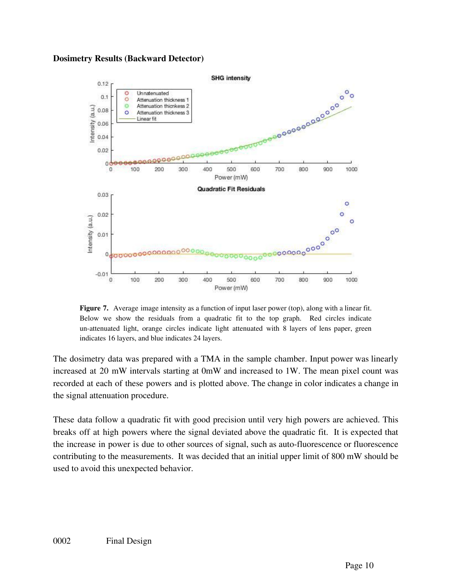#### **Dosimetry Results (Backward Detector)**



**Figure 7.** Average image intensity as a function of input laser power (top), along with a linear fit. Below we show the residuals from a quadratic fit to the top graph. Red circles indicate un-attenuated light, orange circles indicate light attenuated with 8 layers of lens paper, green indicates 16 layers, and blue indicates 24 layers.

The dosimetry data was prepared with a TMA in the sample chamber. Input power was linearly increased at 20 mW intervals starting at 0mW and increased to 1W. The mean pixel count was recorded at each of these powers and is plotted above. The change in color indicates a change in the signal attenuation procedure.

These data follow a quadratic fit with good precision until very high powers are achieved. This breaks off at high powers where the signal deviated above the quadratic fit. It is expected that the increase in power is due to other sources of signal, such as auto-fluorescence or fluorescence contributing to the measurements. It was decided that an initial upper limit of 800 mW should be used to avoid this unexpected behavior.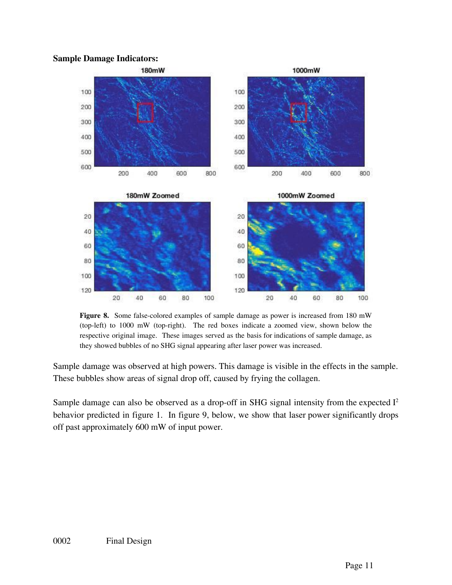#### **Sample Damage Indicators:**



**Figure 8.** Some false-colored examples of sample damage as power is increased from 180 mW (top-left) to 1000 mW (top-right). The red boxes indicate a zoomed view, shown below the respective original image. These images served as the basis for indications of sample damage, as they showed bubbles of no SHG signal appearing after laser power was increased.

Sample damage was observed at high powers. This damage is visible in the effects in the sample. These bubbles show areas of signal drop off, caused by frying the collagen.

Sample damage can also be observed as a drop-off in SHG signal intensity from the expected  $I<sup>2</sup>$ behavior predicted in figure 1. In figure 9, below, we show that laser power significantly drops off past approximately 600 mW of input power.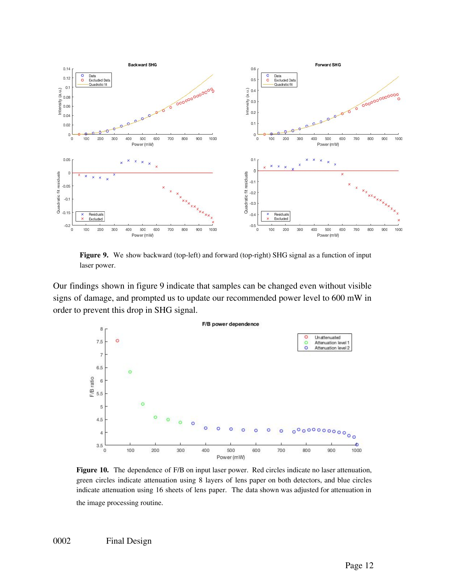

**Figure 9.** We show backward (top-left) and forward (top-right) SHG signal as a function of input laser power.

Our findings shown in figure 9 indicate that samples can be changed even without visible signs of damage, and prompted us to update our recommended power level to 600 mW in order to prevent this drop in SHG signal.



**Figure 10.** The dependence of F/B on input laser power. Red circles indicate no laser attenuation, green circles indicate attenuation using 8 layers of lens paper on both detectors, and blue circles indicate attenuation using 16 sheets of lens paper. The data shown was adjusted for attenuation in the image processing routine.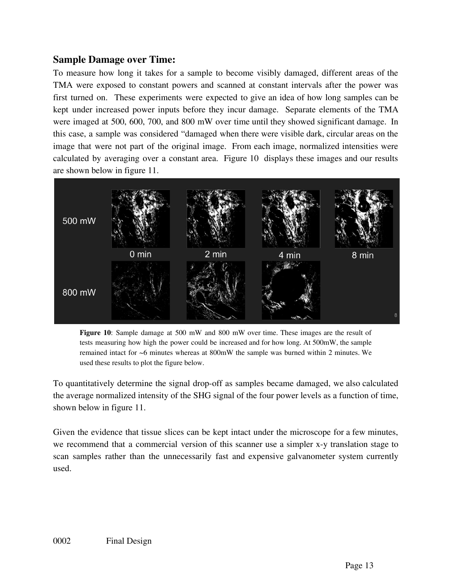### **Sample Damage over Time:**

To measure how long it takes for a sample to become visibly damaged, different areas of the TMA were exposed to constant powers and scanned at constant intervals after the power was first turned on. These experiments were expected to give an idea of how long samples can be kept under increased power inputs before they incur damage. Separate elements of the TMA were imaged at 500, 600, 700, and 800 mW over time until they showed significant damage. In this case, a sample was considered "damaged when there were visible dark, circular areas on the image that were not part of the original image. From each image, normalized intensities were calculated by averaging over a constant area. Figure 10 displays these images and our results are shown below in figure 11.



**Figure 10**: Sample damage at 500 mW and 800 mW over time. These images are the result of tests measuring how high the power could be increased and for how long. At 500mW, the sample remained intact for ~6 minutes whereas at 800mW the sample was burned within 2 minutes. We used these results to plot the figure below.

To quantitatively determine the signal drop-off as samples became damaged, we also calculated the average normalized intensity of the SHG signal of the four power levels as a function of time, shown below in figure 11.

Given the evidence that tissue slices can be kept intact under the microscope for a few minutes, we recommend that a commercial version of this scanner use a simpler x-y translation stage to scan samples rather than the unnecessarily fast and expensive galvanometer system currently used.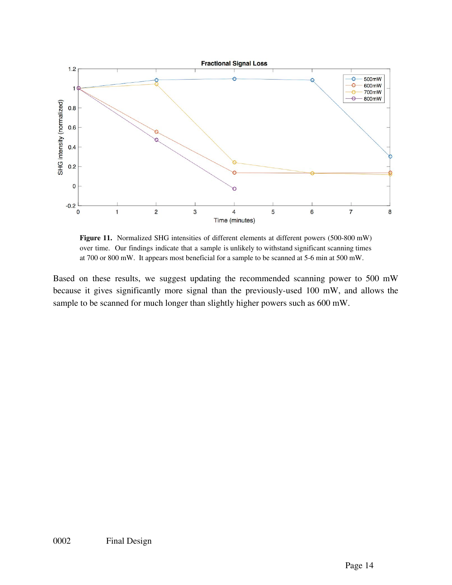

**Figure 11.** Normalized SHG intensities of different elements at different powers (500-800 mW) over time. Our findings indicate that a sample is unlikely to withstand significant scanning times at 700 or 800 mW. It appears most beneficial for a sample to be scanned at 5-6 min at 500 mW.

Based on these results, we suggest updating the recommended scanning power to 500 mW because it gives significantly more signal than the previously-used 100 mW, and allows the sample to be scanned for much longer than slightly higher powers such as 600 mW.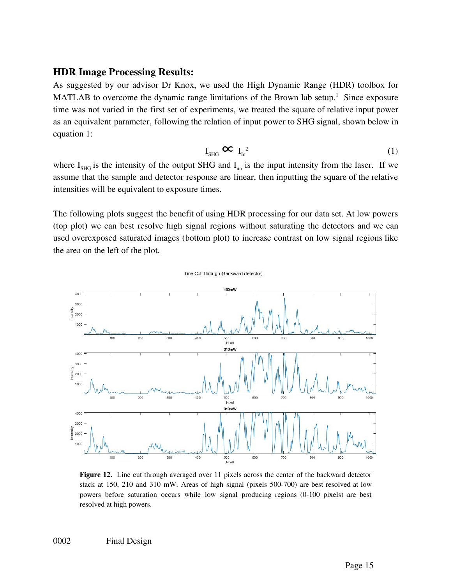#### **HDR Image Processing Results:**

As suggested by our advisor Dr Knox, we used the High Dynamic Range (HDR) toolbox for MATLAB to overcome the dynamic range limitations of the Brown lab setup.<sup>1</sup> Since exposure time was not varied in the first set of experiments, we treated the square of relative input power as an equivalent parameter, following the relation of input power to SHG signal, shown below in equation 1:

$$
I_{SHG} \mathbf{C} \mathbf{C} I_{In}^{2} \tag{1}
$$

where  $I_{\text{SHG}}$  is the intensity of the output SHG and  $I_{\text{un}}$  is the input intensity from the laser. If we assume that the sample and detector response are linear, then inputting the square of the relative intensities will be equivalent to exposure times.

The following plots suggest the benefit of using HDR processing for our data set. At low powers (top plot) we can best resolve high signal regions without saturating the detectors and we can used overexposed saturated images (bottom plot) to increase contrast on low signal regions like the area on the left of the plot.



**Figure 12.** Line cut through averaged over 11 pixels across the center of the backward detector stack at 150, 210 and 310 mW. Areas of high signal (pixels 500-700) are best resolved at low powers before saturation occurs while low signal producing regions (0-100 pixels) are best resolved at high powers.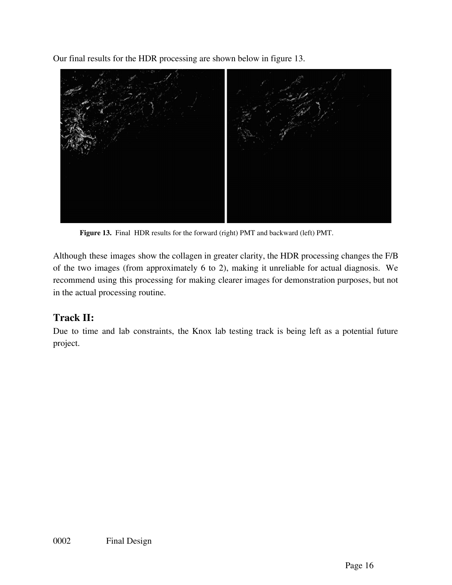Our final results for the HDR processing are shown below in figure 13.



**Figure 13.** Final HDR results for the forward (right) PMT and backward (left) PMT.

Although these images show the collagen in greater clarity, the HDR processing changes the F/B of the two images (from approximately 6 to 2), making it unreliable for actual diagnosis. We recommend using this processing for making clearer images for demonstration purposes, but not in the actual processing routine.

# **Track II:**

Due to time and lab constraints, the Knox lab testing track is being left as a potential future project.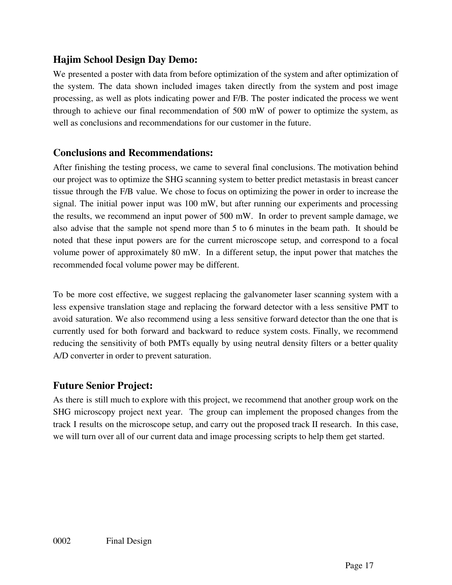## **Hajim School Design Day Demo:**

We presented a poster with data from before optimization of the system and after optimization of the system. The data shown included images taken directly from the system and post image processing, as well as plots indicating power and F/B. The poster indicated the process we went through to achieve our final recommendation of 500 mW of power to optimize the system, as well as conclusions and recommendations for our customer in the future.

### **Conclusions and Recommendations:**

After finishing the testing process, we came to several final conclusions. The motivation behind our project was to optimize the SHG scanning system to better predict metastasis in breast cancer tissue through the F/B value. We chose to focus on optimizing the power in order to increase the signal. The initial power input was 100 mW, but after running our experiments and processing the results, we recommend an input power of 500 mW. In order to prevent sample damage, we also advise that the sample not spend more than 5 to 6 minutes in the beam path. It should be noted that these input powers are for the current microscope setup, and correspond to a focal volume power of approximately 80 mW. In a different setup, the input power that matches the recommended focal volume power may be different.

To be more cost effective, we suggest replacing the galvanometer laser scanning system with a less expensive translation stage and replacing the forward detector with a less sensitive PMT to avoid saturation. We also recommend using a less sensitive forward detector than the one that is currently used for both forward and backward to reduce system costs. Finally, we recommend reducing the sensitivity of both PMTs equally by using neutral density filters or a better quality A/D converter in order to prevent saturation.

# **Future Senior Project:**

As there is still much to explore with this project, we recommend that another group work on the SHG microscopy project next year. The group can implement the proposed changes from the track I results on the microscope setup, and carry out the proposed track II research. In this case, we will turn over all of our current data and image processing scripts to help them get started.